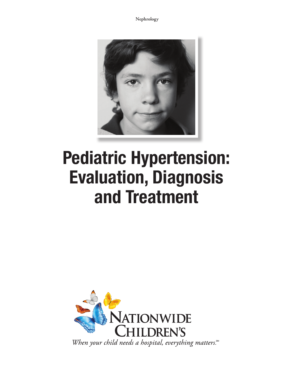**Nephrology**



# Pediatric Hypertension: Evaluation, Diagnosis and Treatment

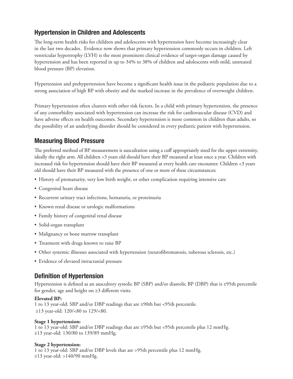# Hypertension in Children and Adolescents

The long-term health risks for children and adolescents with hypertension have become increasingly clear in the last two decades. Evidence now shows that primary hypertension commonly occurs in children. Left ventricular hypertrophy (LVH) is the most prominent clinical evidence of target-organ damage caused by hypertension and has been reported in up to 34% to 38% of children and adolescents with mild, untreated blood pressure (BP) elevation.

Hypertension and prehypertension have become a significant health issue in the pediatric population due to a strong association of high BP with obesity and the marked increase in the prevalence of overweight children.

Primary hypertension often clusters with other risk factors. In a child with primary hypertension, the presence of any comorbidity associated with hypertension can increase the risk for cardiovascular disease (CVD) and have adverse effects on health outcomes. Secondary hypertension is more common in children than adults, so the possibility of an underlying disorder should be considered in every pediatric patient with hypertension.

# Measuring Blood Pressure

The preferred method of BP measurement is auscultation using a cuff appropriately sized for the upper extremity, ideally the right arm. All children >3 years old should have their BP measured at least once a year. Children with increased risk for hypertension should have their BP measured at every health care encounter. Children <3 years old should have their BP measured with the presence of one or more of these circumstances:

- History of prematurity, very low birth weight, or other complication requiring intensive care
- Congenital heart disease
- Recurrent urinary tract infections, hematuria, or proteinuria
- Known renal disease or urologic malformations
- Family history of congenital renal disease
- Solid-organ transplant
- Malignancy or bone marrow transplant
- Treatment with drugs known to raise BP
- Other systemic illnesses associated with hypertension (neurofibromatosis, tuberous sclerosis, etc.)
- Evidence of elevated intracranial pressure

# Definition of Hypertension

Hypertension is defined as an auscultory systolic BP (SBP) and/or diastolic BP (DBP) that is ≥95th percentile for gender, age and height on ≥3 different visits.

### **Elevated BP:**

1 to 13 year-old: SBP and/or DBP readings that are ≥90th but <95th percentile. ≥13 year-old: 120/<80 to 129/<80.

### **Stage 1 hypertension:**

1 to 13 year-old: SBP and/or DBP readings that are ≥95th but <95th percentile plus 12 mmHg. ≥13 year-old: 130/80 to 139/89 mmHg.

### **Stage 2 hypertension:**

1 to 13 year-old: SBP and/or DBP levels that are >95th percentile plus 12 mmHg. ≥13 year-old: >140/90 mmHg.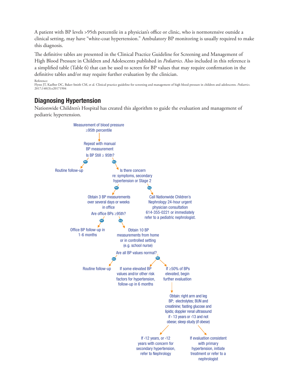A patient with BP levels >95th percentile in a physician's office or clinic, who is normotensive outside a clinical setting, may have "white-coat hypertension." Ambulatory BP monitoring is usually required to make this diagnosis.

The definitive tables are presented in the Clinical Practice Guideline for Screening and Management of High Blood Pressure in Children and Adolescents published in *Pediatrics*. Also included in this reference is a simplified table (Table 6) that can be used to screen for BP values that may require confirmation in the definitive tables and/or may require further evaluation by the clinician.

```
Reference:<br>Flynn JT, Kaelber DC, Baker-Smith CM, et al. Clinical practice guideline for screening and management of high blood pressure in children and adolescents. Pediatrics.
2017;140(3):e20171904
```
### Diagnosing Hypertension

Nationwide Children's Hospital has created this algorithm to guide the evaluation and management of pediatric hypertension.